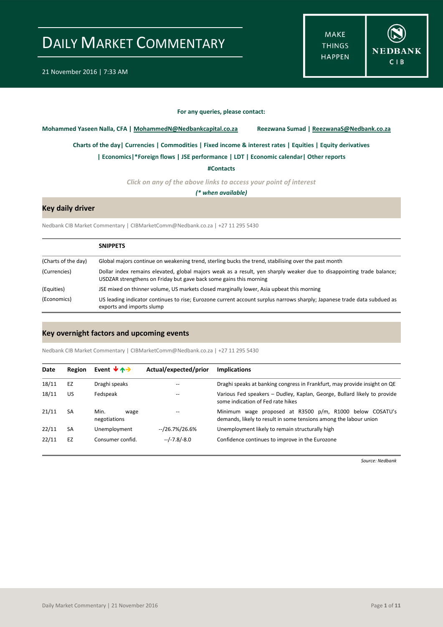**MAKE THINGS HAPPEN** 



#### **For any queries, please contact:**

<span id="page-0-0"></span>**Mohammed Yaseen Nalla, CFA | MohammedN@Nedbankcapital.co.za Reezwana Sumad | ReezwanaS@Nedbank.co.za**

**[Charts of the day|](#page-1-0) [Currencies](#page-2-0) [| Commodities](#page-3-0) | [Fixed income & interest rates](#page-4-0) [| Equities](#page-5-0) | Equity derivatives**

**[| Economics|](#page-6-0)\*Foreign flows | [JSE performance](#page-7-0) [| LDT](#page-8-0) [| Economic calendar|](#page-8-1) Other reports** 

**[#Contacts](#page-9-0)**

*Click on any of the above links to access your point of interest*

*(\* when available)*

## **Key daily driver**

Nedbank CIB Market Commentary | CIBMarketComm@Nedbank.co.za | +27 11 295 5430

|                     | <b>SNIPPETS</b>                                                                                                                                                                             |
|---------------------|---------------------------------------------------------------------------------------------------------------------------------------------------------------------------------------------|
| (Charts of the day) | Global majors continue on weakening trend, sterling bucks the trend, stabilising over the past month                                                                                        |
| (Currencies)        | Dollar index remains elevated, global majors weak as a result, yen sharply weaker due to disappointing trade balance;<br>USDZAR strengthens on Friday but gave back some gains this morning |
| (Equities)          | JSE mixed on thinner volume, US markets closed marginally lower, Asia upbeat this morning                                                                                                   |
| (Economics)         | US leading indicator continues to rise; Eurozone current account surplus narrows sharply; Japanese trade data subdued as<br>exports and imports slump                                       |

### **Key overnight factors and upcoming events**

Nedbank CIB Market Commentary | CIBMarketComm@Nedbank.co.za | +27 11 295 5430

| Date  | Region    | Event $\forall$ $\land \rightarrow$ | Actual/expected/prior | <b>Implications</b>                                                                                                           |  |  |
|-------|-----------|-------------------------------------|-----------------------|-------------------------------------------------------------------------------------------------------------------------------|--|--|
| 18/11 | EZ        | Draghi speaks<br>--                 |                       | Draghi speaks at banking congress in Frankfurt, may provide insight on QE                                                     |  |  |
| 18/11 | US        | Fedspeak                            | $- -$                 | Various Fed speakers - Dudley, Kaplan, George, Bullard likely to provide<br>some indication of Fed rate hikes                 |  |  |
| 21/11 | <b>SA</b> | Min.<br>wage<br>negotiations        | $- -$                 | Minimum wage proposed at R3500 p/m, R1000 below COSATU's<br>demands, likely to result in some tensions among the labour union |  |  |
| 22/11 | <b>SA</b> | Unemployment                        | $-$ /26.7%/26.6%      | Unemployment likely to remain structurally high                                                                               |  |  |
| 22/11 | EZ        | Consumer confid.                    | $-/-7.8/-8.0$         | Confidence continues to improve in the Eurozone                                                                               |  |  |

*Source: Nedbank*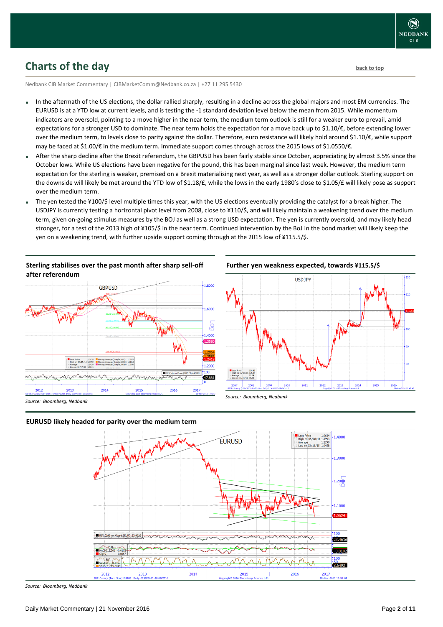## <span id="page-1-0"></span>**Charts of the day** [back to top](#page-0-0) back to top

Nedbank CIB Market Commentary | CIBMarketComm@Nedbank.co.za | +27 11 295 5430

- In the aftermath of the US elections, the dollar rallied sharply, resulting in a decline across the global majors and most EM currencies. The EURUSD is at a YTD low at current levels, and is testing the -1 standard deviation level below the mean from 2015. While momentum indicators are oversold, pointing to a move higher in the near term, the medium term outlook is still for a weaker euro to prevail, amid expectations for a stronger USD to dominate. The near term holds the expectation for a move back up to \$1.10/€, before extending lower over the medium term, to levels close to parity against the dollar. Therefore, euro resistance will likely hold around \$1.10/€, while support may be faced at \$1.00/€ in the medium term. Immediate support comes through across the 2015 lows of \$1.0550/€.
- After the sharp decline after the Brexit referendum, the GBPUSD has been fairly stable since October, appreciating by almost 3.5% since the October lows. While US elections have been negative for the pound, this has been marginal since last week. However, the medium term expectation for the sterling is weaker, premised on a Brexit materialising next year, as well as a stronger dollar outlook. Sterling support on the downside will likely be met around the YTD low of \$1.18/£, while the lows in the early 1980's close to \$1.05/£ will likely pose as support over the medium term.
- The yen tested the ¥100/\$ level multiple times this year, with the US elections eventually providing the catalyst for a break higher. The USDJPY is currently testing a horizontal pivot level from 2008, close to ¥110/\$, and will likely maintain a weakening trend over the medium term, given on-going stimulus measures by the BOJ as well as a strong USD expectation. The yen is currently oversold, and may likely head stronger, for a test of the 2013 high of ¥105/\$ in the near term. Continued intervention by the BoJ in the bond market will likely keep the yen on a weakening trend, with further upside support coming through at the 2015 low of ¥115.5/\$.

**Sterling stabilises over the past month after sharp sell-off after referendum**





### **EURUSD likely headed for parity over the medium term**



*Source: Bloomberg, Nedbank*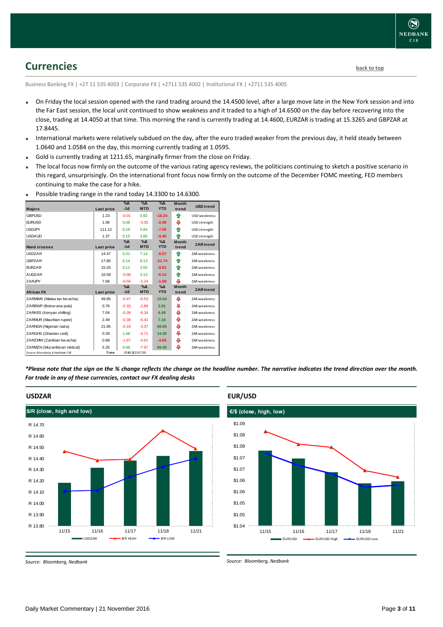## <span id="page-2-0"></span>**Currencies [back to top](#page-0-0)**

Business Banking FX | +27 11 535 4003 | Corporate FX | +2711 535 4002 | Institutional FX | +2711 535 4005

- On Friday the local session opened with the rand trading around the 14.4500 level, after a large move late in the New York session and into the Far East session, the local unit continued to show weakness and it traded to a high of 14.6500 on the day before recovering into the close, trading at 14.4050 at that time. This morning the rand is currently trading at 14.4600, EURZAR is trading at 15.3265 and GBPZAR at 17.8445.
- International markets were relatively subdued on the day, after the euro traded weaker from the previous day, it held steady between 1.0640 and 1.0584 on the day, this morning currently trading at 1.0595.
- Gold is currently trading at 1211.65, marginally firmer from the close on Friday.
- The local focus now firmly on the outcome of the various rating agency reviews, the politicians continuing to sketch a positive scenario in this regard, unsurprisingly. On the international front focus now firmly on the outcome of the December FOMC meeting, FED members continuing to make the case for a hike.

| <b>Majors</b>                   | Last price | $\%$ $\Delta$<br>$-1d$ | $\Delta_0$<br><b>MTD</b> | $\%$ $\Delta$<br><b>YTD</b> | <b>Month</b><br>trend | <b>USD</b> trend    |
|---------------------------------|------------|------------------------|--------------------------|-----------------------------|-----------------------|---------------------|
| <b>GBPUSD</b>                   | 1.23       | $-0.01$                | 0.92                     | $-16.24$                    | ⇑                     | USD weakness        |
| <b>EURUSD</b>                   | 1.06       | 0.08                   | $-3.35$                  | $-2.48$                     | ⊕                     | USD strength        |
| <b>USDJPY</b>                   | 111.12     | 0.19                   | 5.84                     | $-7.55$                     | ⇑                     | USD strength        |
| <b>USDAUD</b>                   | 1.37       | 0.15                   | 3.86                     | $-0.45$                     | ⇑                     | USD strength        |
|                                 |            | $\%$ $\Delta$          | $\%$ $\Delta$            | $\%$ $\Delta$               | <b>Month</b>          |                     |
| <b>Rand crosses</b>             | Last price | $-1d$                  | <b>MTD</b>               | <b>YTD</b>                  | trend                 | <b>ZAR</b> trend    |
| <b>USDZAR</b>                   | 14.47      | 0.31                   | 7.14                     | $-6.57$                     | ♠                     | ZAR weakness        |
| <b>GBPZAR</b>                   | 17.85      | 0.14                   | 8.13                     | $-21.74$                    | ♠                     | ZAR weakness        |
| <b>EURZAR</b>                   | 15.33      | 0.11                   | 3.55                     | $-8.91$                     | ⇑                     | ZAR weakness        |
| <b>AUDZAR</b>                   | 10.59      | $-0.08$                | 3.13                     | $-6.14$                     | ⇑                     | ZAR weakness        |
| <b>ZARJPY</b>                   | 7.68       | $-0.04$                | $-1.24$                  | $-1.09$                     | ⊕                     | ZAR weakness        |
|                                 |            | $\%$ $\Delta$          | $\%$ $\Delta$            | $\%$ $\Delta$               | <b>Month</b>          | <b>ZAR</b> trend    |
| <b>African FX</b>               | Last price | $-1d$                  | <b>MTD</b>               | <b>YTD</b>                  | trend                 |                     |
| ZARMWK (Malaw ian kw acha)      | 49.85      | $-0.47$                | $-6.53$                  | 15.54                       | ⊕                     | ZAR weakness        |
| ZARBWP (Botsw ana pula)         | 0.76       | $-0.33$                | $-2.89$                  | 3.91                        | ⊕                     | ZAR weakness        |
| ZARKES (Kenyan shilling)        | 7.04       | $-0.39$                | $-6.34$                  | 6.49                        | ⊕                     | <b>ZAR</b> weakness |
| ZARMUR (Mauritian rupee)        | 2.49       | $-0.38$                | $-6.41$                  | 7.16                        | ⊕                     | ZAR weakness        |
| ZARNGN (Nigerian naira)         | 21.85      | $-0.16$                | $-3.37$                  | 69.69                       | ⊕                     | ZAR weakness        |
| ZARGHS (Ghanian cedi)           | 0.28       | 1.48                   | $-4.71$                  | 14.30                       | ⊕                     | ZAR weakness        |
| ZARZMW (Zambian kw acha)        | 0.68       | $-1.67$                | $-4.61$                  | $-4.56$                     | ⊕                     | ZAR weakness        |
| ZARMZN (Mozambican metical)     | 5.25       | 0.48                   | $-7.97$                  | 69.45                       | ⊕                     | ZAR weakness        |
| Source: Bloomberg & Nedbank CIB | Time       |                        | 2016/11/2107:30          |                             |                       |                     |

Possible trading range in the rand today 14.3300 to 14.6300.

*\*Please note that the sign on the % change reflects the change on the headline number. The narrative indicates the trend direction over the month. For trade in any of these currencies, contact our FX dealing desks*

## **USDZAR**



**EUR/USD** 



*Source: Bloomberg, Nedbank*

*Source: Bloomberg, Nedbank*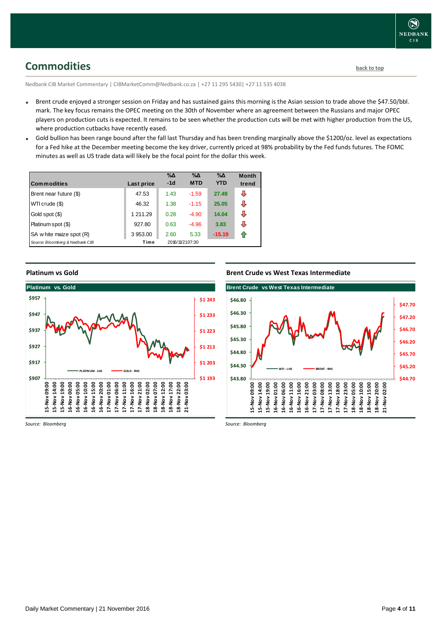# <span id="page-3-0"></span>**Commodities [back to top](#page-0-0)**

Nedbank CIB Market Commentary | CIBMarketComm@Nedbank.co.za | +27 11 295 5430| +27 11 535 4038

- Brent crude enjoyed a stronger session on Friday and has sustained gains this morning is the Asian session to trade above the \$47.50/bbl. mark. The key focus remains the OPEC meeting on the 30th of November where an agreement between the Russians and major OPEC players on production cuts is expected. It remains to be seen whether the production cuts will be met with higher production from the US, where production cutbacks have recently eased.
- Gold bullion has been range bound after the fall last Thursday and has been trending marginally above the \$1200/oz. level as expectations for a Fed hike at the December meeting become the key driver, currently priced at 98% probability by the Fed funds futures. The FOMC minutes as well as US trade data will likely be the focal point for the dollar this week.

| <b>Commodities</b>              | Last price | $\% \Delta$<br>$-1d$ | $\% \Delta$<br><b>MTD</b> | $\% \Delta$<br><b>YTD</b> | <b>Month</b><br>trend |
|---------------------------------|------------|----------------------|---------------------------|---------------------------|-----------------------|
| Brent near future (\$)          | 47.53      | 1.43                 | $-1.59$                   | 27.49                     | ⊕                     |
| WTI crude (\$)                  | 46.32      | 1.38                 | $-1.15$                   | 25.05                     | ⊕                     |
| Gold spot (\$)                  | 1 211.29   | 0.28                 | $-4.90$                   | 14.04                     | ⊕                     |
| Platinum spot (\$)              | 927.80     | 0.63                 | $-4.96$                   | 3.83                      | J                     |
| SA w hite maize spot (R)        | 3953.00    | 2.60                 | 5.33                      | $-15.19$                  | €                     |
| Source: Bloomberg & Nedbank CIB | Time       |                      | 2016/11/2107:30           |                           |                       |

**Platinum vs Gold**



*Source: Bloomberg*

**Brent Crude vs West Texas Intermediate**



*Source: Bloomberg*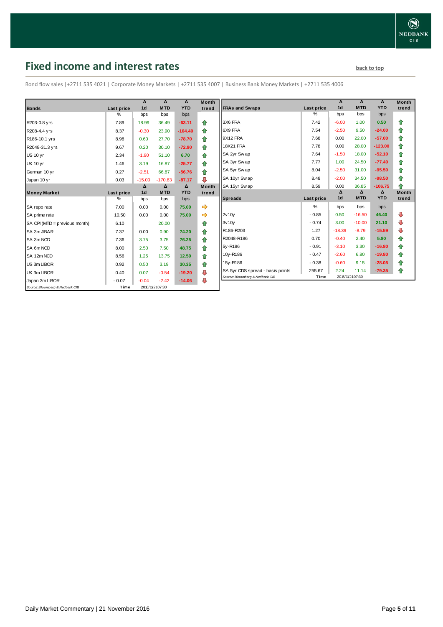# <span id="page-4-0"></span>**Fixed income and interest rates back to the line of the set of the set of the set of the set of the set of the set of the set of the set of the set of the set of the set of the set of the set of the set of the set of th**

Bond flow sales |+2711 535 4021 | Corporate Money Markets | +2711 535 4007 | Business Bank Money Markets | +2711 535 4006

| <b>Bonds</b>                    | Last price         | Δ<br>1 <sub>d</sub> | Δ<br><b>MTD</b> | Δ<br><b>YTD</b> | <b>Month</b><br>trend |
|---------------------------------|--------------------|---------------------|-----------------|-----------------|-----------------------|
|                                 | %                  | bps                 | bps             | bps             |                       |
| R203-0.8 yrs                    | 7.89               | 18.99               | 36.49           | $-63.11$        | ⇑                     |
| R208-4.4 yrs                    | 8.37               | $-0.30$             | 23.90           | $-104.40$       | 合                     |
| R186-10.1 yrs                   | 8.98               | 0.60                | 27.70           | $-78.70$        | ⇮                     |
| R2048-31.3 yrs                  | 9.67               | 0.20                | 30.10           | $-72.90$        | ⇑                     |
| <b>US 10 yr</b>                 | 2.34               | $-1.90$             | 51.10           | 6.70            | 合                     |
| <b>UK 10 yr</b>                 | 1.46               | 3.19                | 16.87           | $-25.77$        | ⇑                     |
| German 10 yr                    | 0.27               | $-2.51$             | 66.87           | $-56.76$        | ⇑                     |
| Japan 10 yr                     | 0.03               | $-15.00$            | $-170.83$       | $-87.17$        | ⊕                     |
|                                 |                    | Δ<br>1 <sub>d</sub> | Δ<br><b>MTD</b> | Δ<br><b>YTD</b> | <b>Month</b><br>trend |
| <b>Money Market</b>             | Last price<br>$\%$ | bps                 | bps             | bps             |                       |
| SA repo rate                    | 7.00               | 0.00                | 0.00            | 75.00           | ⇨                     |
| SA prime rate                   | 10.50              | 0.00                | 0.00            | 75.00           |                       |
| SA CPI (MTD = previous month)   | 6.10               |                     | 20.00           |                 | ⇑                     |
| SA 3m JIBAR                     | 7.37               | 0.00                | 0.90            | 74.20           | 合                     |
| SA 3m NCD                       | 7.36               | 3.75                | 3.75            | 76.25           | 合                     |
| SA 6m NCD                       | 8.00               | 2.50                | 7.50            | 48.75           | ⇑                     |
| SA 12m NCD                      | 8.56               | 1.25                | 13.75           | 12.50           | 合                     |
| US 3m LIBOR                     | 0.92               | 0.50                | 3.19            | 30.35           | ⇑                     |
| UK 3m LIBOR                     | 0.40               | 0.07                | $-0.54$         | $-19.20$        | ⇩                     |
| Japan 3m LIBOR                  | $-0.07$            | $-0.04$             | $-2.42$         | $-14.06$        | ⊕                     |
| Source: Bloomberg & Nedbank CIB | Time               |                     | 2016/11/2107:30 |                 |                       |

|                                  |            | Δ              | Δ          | Δ          | <b>Month</b> |
|----------------------------------|------------|----------------|------------|------------|--------------|
| <b>FRAs and Swaps</b>            | Last price | 1 <sub>d</sub> | <b>MTD</b> | <b>YTD</b> | trend        |
|                                  | %          | bps            | bps        | bps        |              |
| 3X6 FRA                          | 7.42       | $-6.00$        | 1.00       | 0.50       | ⇑            |
| 6X9 FRA                          | 7.54       | $-2.50$        | 9.50       | $-24.00$   | ✿            |
| 9X12 FRA                         | 7.68       | 0.00           | 22.00      | $-57.00$   | 合            |
| <b>18X21 FRA</b>                 | 7.78       | 0.00           | 28.00      | $-123.00$  | ✿            |
| SA 2yr Sw ap                     | 7.64       | $-1.50$        | 18.00      | $-52.10$   | ✿            |
| SA 3yr Swap                      | 7.77       | 1.00           | 24.50      | $-77.40$   | 合            |
| SA 5yr Sw ap                     | 8.04       | $-2.50$        | 31.00      | $-95.50$   | ⇮            |
| SA 10yr Sw ap                    | 8.48       | $-2.00$        | 34.50      | $-98.50$   | ✿            |
| SA 15yr Sw ap                    | 8.59       | 0.00           | 36.85      | $-106.75$  | ♠            |
|                                  |            | Δ              | Δ          | Δ          | <b>Month</b> |
| <b>Spreads</b>                   | Last price | 1 <sub>d</sub> | <b>MTD</b> | <b>YTD</b> | trend        |
|                                  |            |                |            |            |              |
|                                  | %          | bps            | bps        | bps        |              |
| 2v10v                            | $-0.85$    | 0.50           | $-16.50$   | 46.40      | ⊕            |
| 3v10v                            | $-0.74$    | 3.00           | $-10.00$   | 21.10      | ⊕            |
| R186-R203                        | 1.27       | $-18.39$       | $-8.79$    | $-15.59$   | ⊕            |
| R2048-R186                       | 0.70       | $-0.40$        | 2.40       | 5.80       | ✿            |
| 5y-R186                          | $-0.91$    | $-3.10$        | 3.30       | $-16.80$   | 合            |
| 10y-R186                         | $-0.47$    | $-2.60$        | 6.80       | $-19.80$   | ✿            |
| 15y-R186                         | $-0.38$    | $-0.60$        | 9.15       | $-28.05$   | ✿            |
| SA 5yr CDS spread - basis points | 255.67     | 2.24           | 11.14      | $-79.35$   | ⇮            |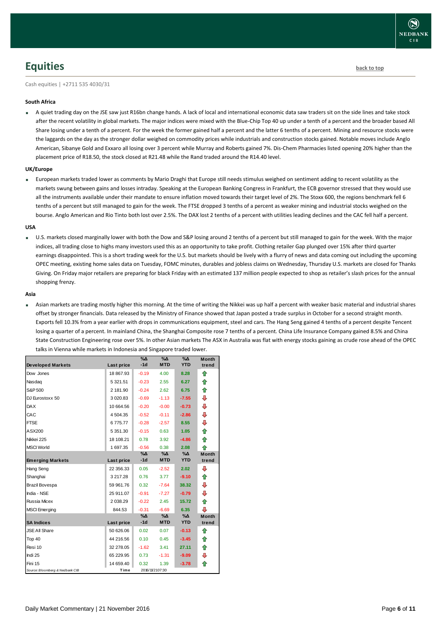## <span id="page-5-0"></span>**Equities [back to top](#page-0-0)**

Cash equities | +2711 535 4030/31

#### **South Africa**

A quiet trading day on the JSE saw just R16bn change hands. A lack of local and international economic data saw traders sit on the side lines and take stock after the recent volatility in global markets. The major indices were mixed with the Blue-Chip Top 40 up under a tenth of a percent and the broader based All Share losing under a tenth of a percent. For the week the former gained half a percent and the latter 6 tenths of a percent. Mining and resource stocks were the laggards on the day as the stronger dollar weighed on commodity prices while industrials and construction stocks gained. Notable moves include Anglo American, Sibanye Gold and Exxaro all losing over 3 percent while Murray and Roberts gained 7%. Dis-Chem Pharmacies listed opening 20% higher than the placement price of R18.50, the stock closed at R21.48 while the Rand traded around the R14.40 level.

#### **UK/Europe**

 European markets traded lower as comments by Mario Draghi that Europe still needs stimulus weighed on sentiment adding to recent volatility as the markets swung between gains and losses intraday. Speaking at the European Banking Congress in Frankfurt, the ECB governor stressed that they would use all the instruments available under their mandate to ensure inflation moved towards their target level of 2%. The Stoxx 600, the regions benchmark fell 6 tenths of a percent but still managed to gain for the week. The FTSE dropped 3 tenths of a percent as weaker mining and industrial stocks weighed on the bourse. Anglo American and Rio Tinto both lost over 2.5%. The DAX lost 2 tenths of a percent with utilities leading declines and the CAC fell half a percent.

#### **USA**

 U.S. markets closed marginally lower with both the Dow and S&P losing around 2 tenths of a percent but still managed to gain for the week. With the major indices, all trading close to highs many investors used this as an opportunity to take profit. Clothing retailer Gap plunged over 15% after third quarter earnings disappointed. This is a short trading week for the U.S. but markets should be lively with a flurry of news and data coming out including the upcoming OPEC meeting, existing home sales data on Tuesday, FOMC minutes, durables and jobless claims on Wednesday, Thursday U.S. markets are closed for Thanks Giving. On Friday major retailers are preparing for black Friday with an estimated 137 million people expected to shop as retailer's slash prices for the annual shopping frenzy.

#### **Asia**

 Asian markets are trading mostly higher this morning. At the time of writing the Nikkei was up half a percent with weaker basic material and industrial shares offset by stronger financials. Data released by the Ministry of Finance showed that Japan posted a trade surplus in October for a second straight month. Exports fell 10.3% from a year earlier with drops in communications equipment, steel and cars. The Hang Seng gained 4 tenths of a percent despite Tencent losing a quarter of a percent. In mainland China, the Shanghai Composite rose 7 tenths of a percent. China Life Insurance Company gained 8.5% and China State Construction Engineering rose over 5%. In other Asian markets The ASX in Australia was flat with energy stocks gaining as crude rose ahead of the OPEC talks in Vienna while markets in Indonesia and Singapore traded lower.

| <b>Developed Markets</b>        | Last price | $\% \Delta$<br>$-1d$ | %Δ<br><b>MTD</b> | %Δ<br><b>YTD</b> | <b>Month</b><br>trend |
|---------------------------------|------------|----------------------|------------------|------------------|-----------------------|
|                                 |            |                      |                  |                  |                       |
| Dow Jones                       | 18 867.93  | $-0.19$              | 4.00             | 8.28             | ⇮                     |
| Nasdag                          | 5 321.51   | $-0.23$              | 2.55             | 6.27             | ⇑                     |
| S&P 500                         | 2 181.90   | $-0.24$              | 2.62             | 6.75             | ⇑                     |
| DJ Eurostoxx 50                 | 3 0 20.83  | $-0.69$              | $-1.13$          | $-7.55$          | ⇩                     |
| <b>DAX</b>                      | 10 664.56  | $-0.20$              | $-0.00$          | $-0.73$          | ⊕                     |
| CAC                             | 4 504.35   | $-0.52$              | $-0.11$          | $-2.86$          | ⇩                     |
| <b>FTSE</b>                     | 6775.77    | $-0.28$              | $-2.57$          | 8.55             | ⊕                     |
| ASX200                          | 5 351.30   | $-0.15$              | 0.63             | 1.05             | ⇑                     |
| Nikkei 225                      | 18 108.21  | 0.78                 | 3.92             | $-4.86$          | ♠                     |
| <b>MSCI World</b>               | 1 697.35   | $-0.56$              | 0.38             | 2.08             | ♠                     |
|                                 |            | %Δ                   | %Δ               | %Δ               | <b>Month</b>          |
| <b>Emerging Markets</b>         | Last price | $-1d$                | <b>MTD</b>       | <b>YTD</b>       | trend                 |
| Hang Seng                       | 22 356.33  | 0.05                 | $-2.52$          | 2.02             | ⊕                     |
| Shanghai                        | 3 217.28   | 0.76                 | 3.77             | $-9.10$          | ⇮                     |
| Brazil Bovespa                  | 59 961.76  | 0.32                 | $-7.64$          | 38.32            | ⊕                     |
| India - NSE                     | 25 911.07  | $-0.91$              | $-7.27$          | $-0.79$          | ⇩                     |
| Russia Micex                    | 2 0 38.29  | $-0.22$              | 2.45             | 15.72            | ⇮                     |
| <b>MSCI</b> Emerging            | 844.53     | $-0.31$              | $-6.69$          | 6.35             | ⊕                     |
|                                 |            | %Δ                   | %Д               | %Δ               | <b>Month</b>          |
| <b>SA Indices</b>               | Last price | $-1d$                | <b>MTD</b>       | <b>YTD</b>       | trend                 |
| <b>JSE All Share</b>            | 50 626.06  | 0.02                 | 0.07             | $-0.13$          | ⇑                     |
| Top 40                          | 44 216.56  | 0.10                 | 0.45             | $-3.45$          | ⇑                     |
| Resi 10                         | 32 278.05  | $-1.62$              | 3.41             | 27.11            | ⇑                     |
| Indi 25                         | 65 229.95  | 0.73                 | $-1.31$          | $-9.09$          | ⊕                     |
| Fini 15                         | 14 659.40  | 0.32                 | 1.39             | $-3.78$          | ⇑                     |
| Source: Bloomberg & Nedbank CIB | Time       |                      | 2016/11/2107:30  |                  |                       |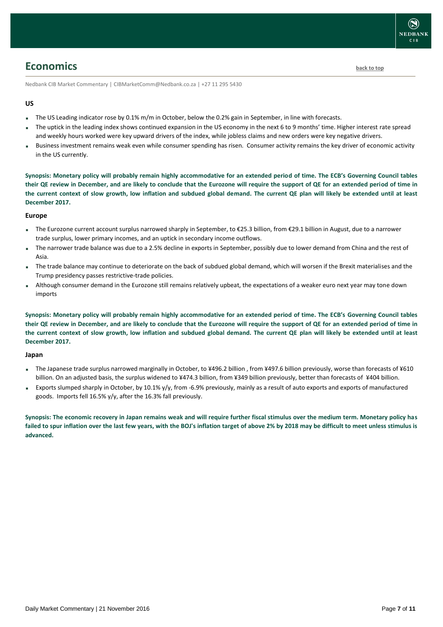## <span id="page-6-0"></span>**Economics [back to top](#page-0-0)**

Nedbank CIB Market Commentary | CIBMarketComm@Nedbank.co.za | +27 11 295 5430

### **US**

- The US Leading indicator rose by 0.1% m/m in October, below the 0.2% gain in September, in line with forecasts.
- The uptick in the leading index shows continued expansion in the US economy in the next 6 to 9 months' time. Higher interest rate spread and weekly hours worked were key upward drivers of the index, while jobless claims and new orders were key negative drivers.
- Business investment remains weak even while consumer spending has risen. Consumer activity remains the key driver of economic activity in the US currently.

**Synopsis: Monetary policy will probably remain highly accommodative for an extended period of time. The ECB's Governing Council tables their QE review in December, and are likely to conclude that the Eurozone will require the support of QE for an extended period of time in the current context of slow growth, low inflation and subdued global demand. The current QE plan will likely be extended until at least December 2017.**

### **Europe**

- The Eurozone current account surplus narrowed sharply in September, to €25.3 billion, from €29.1 billion in August, due to a narrower trade surplus, lower primary incomes, and an uptick in secondary income outflows.
- The narrower trade balance was due to a 2.5% decline in exports in September, possibly due to lower demand from China and the rest of Asia.
- The trade balance may continue to deteriorate on the back of subdued global demand, which will worsen if the Brexit materialises and the Trump presidency passes restrictive-trade policies.
- Although consumer demand in the Eurozone still remains relatively upbeat, the expectations of a weaker euro next year may tone down imports

**Synopsis: Monetary policy will probably remain highly accommodative for an extended period of time. The ECB's Governing Council tables their QE review in December, and are likely to conclude that the Eurozone will require the support of QE for an extended period of time in the current context of slow growth, low inflation and subdued global demand. The current QE plan will likely be extended until at least December 2017.**

### **Japan**

- The Japanese trade surplus narrowed marginally in October, to ¥496.2 billion, from ¥497.6 billion previously, worse than forecasts of ¥610 billion. On an adjusted basis, the surplus widened to ¥474.3 billion, from ¥349 billion previously, better than forecasts of ¥404 billion.
- Exports slumped sharply in October, by 10.1% y/y, from -6.9% previously, mainly as a result of auto exports and exports of manufactured goods. Imports fell 16.5% y/y, after the 16.3% fall previously.

**Synopsis: The economic recovery in Japan remains weak and will require further fiscal stimulus over the medium term. Monetary policy has failed to spur inflation over the last few years, with the BOJ's inflation target of above 2% by 2018 may be difficult to meet unless stimulus is advanced.**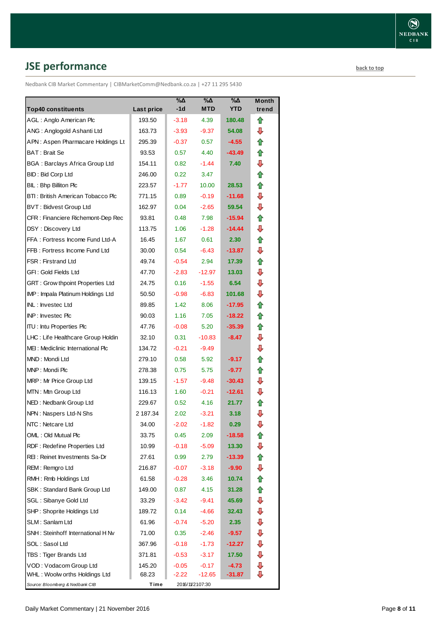# <span id="page-7-0"></span>**JSE performance [back to top](#page-0-0)**

Nedbank CIB Market Commentary | CIBMarketComm@Nedbank.co.za | +27 11 295 5430

| <b>Top40 constituents</b>             | Last price | %Δ<br>-1d | %Δ<br><b>MTD</b> | $\% \Delta$<br><b>YTD</b> | Month<br>trend |
|---------------------------------------|------------|-----------|------------------|---------------------------|----------------|
| AGL: Anglo American Plc               | 193.50     | $-3.18$   | 4.39             | 180.48                    | ⇑              |
| ANG: Anglogold Ashanti Ltd            | 163.73     | $-3.93$   | -9.37            | 54.08                     | ⊕              |
| APN: Aspen Pharmacare Holdings Lt     | 295.39     | $-0.37$   | 0.57             | $-4.55$                   | ✿              |
| <b>BAT: Brait Se</b>                  | 93.53      | 0.57      | 4.40             | $-43.49$                  | ⇑              |
| <b>BGA: Barclays Africa Group Ltd</b> | 154.11     | 0.82      | $-1.44$          | 7.40                      | ⇩              |
| BID: Bid Corp Ltd                     | 246.00     | 0.22      | 3.47             |                           | ⇮              |
| BIL: Bhp Billiton Plc                 | 223.57     | $-1.77$   | 10.00            | 28.53                     | ⇑              |
| BTI: British American Tobacco Plc     | 771.15     | 0.89      | $-0.19$          | $-11.68$                  | ⇩              |
| <b>BVT: Bidvest Group Ltd</b>         | 162.97     | 0.04      | $-2.65$          | 59.54                     | ⇩              |
| CFR : Financiere Richemont-Dep Rec    | 93.81      | 0.48      | 7.98             | $-15.94$                  | ⇑              |
| DSY: Discovery Ltd                    | 113.75     | 1.06      | $-1.28$          | $-14.44$                  | ⇩              |
| FFA: Fortress Income Fund Ltd-A       | 16.45      | 1.67      | 0.61             | 2.30                      | ⇑              |
| FFB: Fortress Income Fund Ltd         | 30.00      | 0.54      | $-6.43$          | -13.87                    | ⇩              |
| <b>FSR: Firstrand Ltd</b>             | 49.74      | $-0.54$   | 2.94             | 17.39                     | ⇑              |
| GFI: Gold Fields Ltd                  | 47.70      | $-2.83$   | $-12.97$         | 13.03                     | ⇩              |
| GRT : Grow thpoint Properties Ltd     | 24.75      | 0.16      | $-1.55$          | 6.54                      | ⇩              |
| IMP: Impala Platinum Holdings Ltd     | 50.50      | $-0.98$   | $-6.83$          | 101.68                    | ⊕              |
| INL: Investec Ltd                     | 89.85      | 1.42      | 8.06             | -17.95                    | ⇑              |
| INP: Investec Plc                     | 90.03      | 1.16      | 7.05             | $-18.22$                  | ✿              |
| <b>ITU: Intu Properties Plc</b>       | 47.76      | $-0.08$   | 5.20             | $-35.39$                  | ⇑              |
| LHC: Life Healthcare Group Holdin     | 32.10      | 0.31      | $-10.83$         | $-8.47$                   | ⇩              |
| MEI: Mediclinic International Plc     | 134.72     | $-0.21$   | $-9.49$          |                           | ⇩              |
| MND: Mondi Ltd                        | 279.10     | 0.58      | 5.92             | $-9.17$                   | ✿              |
| MNP: Mondi Plc                        | 278.38     | 0.75      | 5.75             | $-9.77$                   | ✿              |
| MRP: Mr Price Group Ltd               | 139.15     | $-1.57$   | $-9.48$          | $-30.43$                  | ⊕              |
| MTN: Mtn Group Ltd                    | 116.13     | 1.60      | $-0.21$          | $-12.61$                  | ⇩              |
| NED: Nedbank Group Ltd                | 229.67     | 0.52      | 4.16             | 21.77                     | ⇑              |
| NPN: Naspers Ltd-N Shs                | 2 187.34   | 2.02      | $-3.21$          | 3.18                      | ⇩              |
| NTC: Netcare Ltd                      | 34.00      | $-2.02$   | $-1.82$          | 0.29                      | ⇩              |
| OML: Old Mutual Plc                   | 33.75      | 0.45      | 2.09             | $-18.58$                  | €              |
| RDF: Redefine Properties Ltd          | 10.99      | $-0.18$   | $-5.09$          | 13.30                     | ⇩              |
| REI: Reinet Investments Sa-Dr         | 27.61      | 0.99      | 2.79             | $-13.39$                  | ⇑              |
| REM: Remgro Ltd                       | 216.87     | $-0.07$   | $-3.18$          | -9.90                     | ⊕              |
| RMH: Rmb Holdings Ltd                 | 61.58      | $-0.28$   | 3.46             | 10.74                     | ⇑              |
| SBK: Standard Bank Group Ltd          | 149.00     | 0.87      | 4.15             | 31.28                     | 合              |
| SGL : Sibanye Gold Ltd                | 33.29      | $-3.42$   | -9.41            | 45.69                     | ⊕              |
| SHP: Shoprite Holdings Ltd            | 189.72     | 0.14      | $-4.66$          | 32.43                     | ⇩              |
| SLM: Sanlam Ltd                       | 61.96      | $-0.74$   | $-5.20$          | 2.35                      | ⇩              |
| SNH: Steinhoff International H Nv     | 71.00      | 0.35      | $-2.46$          | -9.57                     | ⇩              |
| SOL: Sasol Ltd                        | 367.96     | $-0.18$   | $-1.73$          | -12.27                    | ⊕              |
| TBS: Tiger Brands Ltd                 | 371.81     | $-0.53$   | $-3.17$          | 17.50                     | ⊕              |
| VOD: Vodacom Group Ltd                | 145.20     | $-0.05$   | $-0.17$          | $-4.73$                   | ⊕              |
| WHL: Woolw orths Holdings Ltd         | 68.23      | $-2.22$   | $-12.65$         | -31.87                    | ⇩              |
| Source: Bloomberg & Nedbank CIB       | Time       |           | 2016/11/2107:30  |                           |                |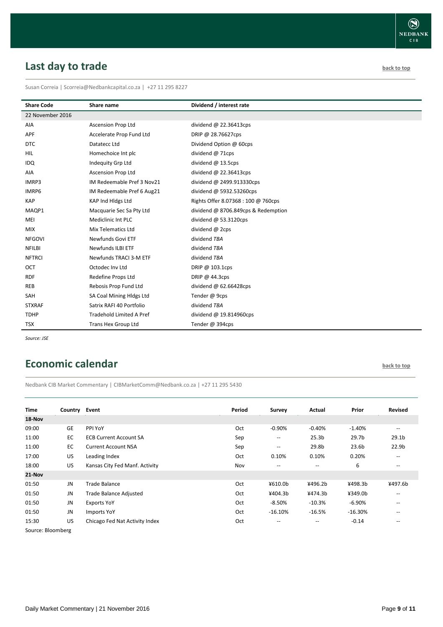# <span id="page-8-0"></span>**Last day to trade back to the contract of the contract of the contract of the contract of the contract of the contract of the contract of the contract of the contract of the contract of the contract of the contract of t**

Susan Correia | [Scorreia@Nedbankcapital.co.za](mailto:Scorreia@Nedbankcapital.co.za) | +27 11 295 8227

| <b>Share Code</b> | Share name                      | Dividend / interest rate            |
|-------------------|---------------------------------|-------------------------------------|
| 22 November 2016  |                                 |                                     |
| AIA               | Ascension Prop Ltd              | dividend @ 22.36413cps              |
| APF               | Accelerate Prop Fund Ltd        | DRIP @ 28.76627cps                  |
| <b>DTC</b>        | Datatecc Ltd                    | Dividend Option @ 60cps             |
| HIL               | Homechoice Int plc              | dividend @ 71cps                    |
| <b>IDQ</b>        | Indequity Grp Ltd               | dividend $@$ 13.5cps                |
| AIA               | <b>Ascension Prop Ltd</b>       | dividend @ 22.36413cps              |
| IMRP3             | IM Redeemable Pref 3 Nov21      | dividend @ 2499.913330cps           |
| IMRP6             | IM Redeemable Pref 6 Aug21      | dividend @ 5932.53260cps            |
| <b>KAP</b>        | KAP Ind Hidgs Ltd               | Rights Offer 8.07368 : 100 @ 760cps |
| MAQP1             | Macquarie Sec Sa Pty Ltd        | dividend @ 8706.849cps & Redemption |
| MEI               | Mediclinic Int PLC              | dividend $@$ 53.3120cps             |
| <b>MIX</b>        | Mix Telematics Ltd              | dividend @ 2cps                     |
| <b>NFGOVI</b>     | Newfunds Govi ETF               | dividend TBA                        |
| <b>NFILBI</b>     | <b>Newfunds ILBI ETF</b>        | dividend TBA                        |
| <b>NFTRCI</b>     | Newfunds TRACI 3-M ETF          | dividend TBA                        |
| OCT               | Octodec Inv Ltd                 | DRIP @ 103.1cps                     |
| <b>RDF</b>        | Redefine Props Ltd              | DRIP @ 44.3cps                      |
| <b>REB</b>        | Rebosis Prop Fund Ltd           | dividend $@$ 62.66428cps            |
| <b>SAH</b>        | SA Coal Mining Hldgs Ltd        | Tender @ 9cps                       |
| <b>STXRAF</b>     | Satrix RAFI 40 Portfolio        | dividend TBA                        |
| <b>TDHP</b>       | <b>Tradehold Limited A Pref</b> | dividend @ 19.814960cps             |
| <b>TSX</b>        | Trans Hex Group Ltd             | Tender @ 394cps                     |

*Source: JSE*

## <span id="page-8-1"></span>**Economic calendar [back to top](#page-0-0) back to top**

Nedbank CIB Market Commentary | CIBMarketComm@Nedbank.co.za | +27 11 295 5430

| Time              | Country   | Event                          | Period | <b>Survey</b>                         | Actual                   | Prior     | <b>Revised</b>                                      |
|-------------------|-----------|--------------------------------|--------|---------------------------------------|--------------------------|-----------|-----------------------------------------------------|
| 18-Nov            |           |                                |        |                                       |                          |           |                                                     |
| 09:00             | <b>GE</b> | PPI YoY                        | Oct    | $-0.90%$                              | $-0.40%$                 | $-1.40%$  | $\overline{\phantom{a}}$                            |
| 11:00             | EC        | <b>ECB Current Account SA</b>  | Sep    | $\hspace{0.05cm}$ – $\hspace{0.05cm}$ | 25.3 <sub>b</sub>        | 29.7b     | 29.1 <sub>b</sub>                                   |
| 11:00             | EC        | <b>Current Account NSA</b>     | Sep    | $\overline{\phantom{a}}$              | 29.8b                    | 23.6b     | 22.9 <sub>b</sub>                                   |
| 17:00             | US        | Leading Index                  | Oct    | 0.10%                                 | 0.10%                    | 0.20%     | $\overline{\phantom{m}}$                            |
| 18:00             | <b>US</b> | Kansas City Fed Manf. Activity | Nov    | $\hspace{0.05cm}$ – $\hspace{0.05cm}$ | $\overline{\phantom{m}}$ | 6         | $\overline{\phantom{m}}$                            |
| 21-Nov            |           |                                |        |                                       |                          |           |                                                     |
| 01:50             | JN        | Trade Balance                  | Oct    | ¥610.0b                               | ¥496.2b                  | ¥498.3b   | ¥497.6b                                             |
| 01:50             | JN        | Trade Balance Adjusted         | Oct    | ¥404.3b                               | ¥474.3b                  | ¥349.0b   | $\hspace{0.05cm} -\hspace{0.05cm} -\hspace{0.05cm}$ |
| 01:50             | JN        | <b>Exports YoY</b>             | Oct    | $-8.50%$                              | $-10.3%$                 | $-6.90%$  | $\overline{\phantom{m}}$                            |
| 01:50             | JN        | Imports YoY                    | Oct    | $-16.10%$                             | $-16.5%$                 | $-16.30%$ | $\hspace{0.05cm}$ – $\hspace{0.05cm}$               |
| 15:30             | US        | Chicago Fed Nat Activity Index | Oct    | --                                    | $\qquad \qquad -$        | $-0.14$   | --                                                  |
| Source: Bloomberg |           |                                |        |                                       |                          |           |                                                     |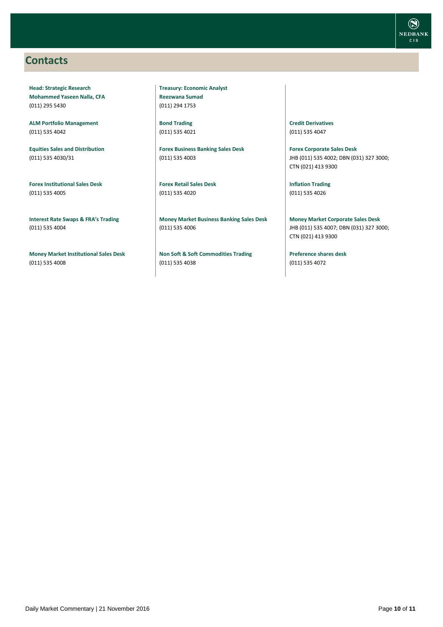## <span id="page-9-0"></span>**Contacts**

**Head: Strategic Research Mohammed Yaseen Nalla, CFA** (011) 295 5430

**ALM Portfolio Management** (011) 535 4042

**Equities Sales and Distribution** (011) 535 4030/31

**Forex Institutional Sales Desk** (011) 535 4005

**Interest Rate Swaps & FRA's Trading** (011) 535 4004

**Money Market Institutional Sales Desk** (011) 535 4008

**Treasury: Economic Analyst Reezwana Sumad** (011) 294 1753

**Bond Trading** (011) 535 4021

**Forex Business Banking Sales Desk** (011) 535 4003

**Forex Retail Sales Desk** (011) 535 4020

**Money Market Business Banking Sales Desk** (011) 535 4006

**Non Soft & Soft Commodities Trading** (011) 535 4038

**Credit Derivatives**  (011) 535 4047

**Forex Corporate Sales Desk** JHB (011) 535 4002; DBN (031) 327 3000; CTN (021) 413 9300

**Inflation Trading** (011) 535 4026

**Money Market Corporate Sales Desk** JHB (011) 535 4007; DBN (031) 327 3000; CTN (021) 413 9300

**Preference shares desk** (011) 535 4072